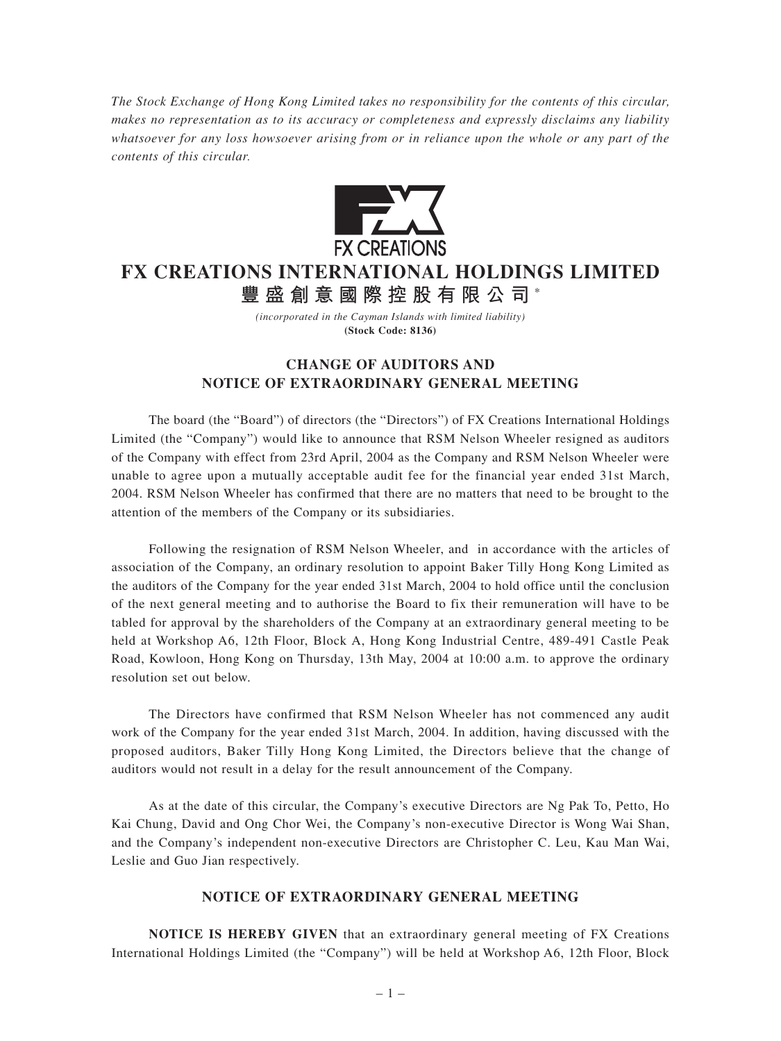*The Stock Exchange of Hong Kong Limited takes no responsibility for the contents of this circular, makes no representation as to its accuracy or completeness and expressly disclaims any liability whatsoever for any loss howsoever arising from or in reliance upon the whole or any part of the contents of this circular.*



## **FX CREATIONS INTERNATIONAL HOLDINGS LIMITED**

**豐盛創意國際控股有限公司** \*

*(incorporated in the Cayman Islands with limited liability)* **(Stock Code: 8136)**

## **CHANGE OF AUDITORS AND NOTICE OF EXTRAORDINARY GENERAL MEETING**

The board (the "Board") of directors (the "Directors") of FX Creations International Holdings Limited (the "Company") would like to announce that RSM Nelson Wheeler resigned as auditors of the Company with effect from 23rd April, 2004 as the Company and RSM Nelson Wheeler were unable to agree upon a mutually acceptable audit fee for the financial year ended 31st March, 2004. RSM Nelson Wheeler has confirmed that there are no matters that need to be brought to the attention of the members of the Company or its subsidiaries.

Following the resignation of RSM Nelson Wheeler, and in accordance with the articles of association of the Company, an ordinary resolution to appoint Baker Tilly Hong Kong Limited as the auditors of the Company for the year ended 31st March, 2004 to hold office until the conclusion of the next general meeting and to authorise the Board to fix their remuneration will have to be tabled for approval by the shareholders of the Company at an extraordinary general meeting to be held at Workshop A6, 12th Floor, Block A, Hong Kong Industrial Centre, 489-491 Castle Peak Road, Kowloon, Hong Kong on Thursday, 13th May, 2004 at 10:00 a.m. to approve the ordinary resolution set out below.

The Directors have confirmed that RSM Nelson Wheeler has not commenced any audit work of the Company for the year ended 31st March, 2004. In addition, having discussed with the proposed auditors, Baker Tilly Hong Kong Limited, the Directors believe that the change of auditors would not result in a delay for the result announcement of the Company.

As at the date of this circular, the Company's executive Directors are Ng Pak To, Petto, Ho Kai Chung, David and Ong Chor Wei, the Company's non-executive Director is Wong Wai Shan, and the Company's independent non-executive Directors are Christopher C. Leu, Kau Man Wai, Leslie and Guo Jian respectively.

## **NOTICE OF EXTRAORDINARY GENERAL MEETING**

**NOTICE IS HEREBY GIVEN** that an extraordinary general meeting of FX Creations International Holdings Limited (the "Company") will be held at Workshop A6, 12th Floor, Block